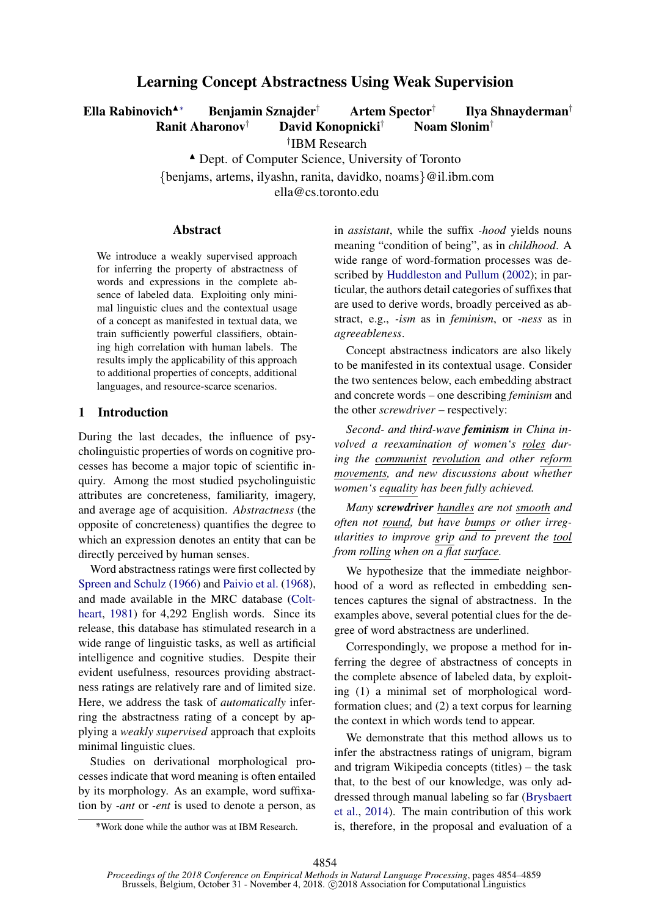# Learning Concept Abstractness Using Weak Supervision

Ella Rabinovich<sup>▲∗</sup> Benjamin Sznajder<sup>†</sup> Artem Spector<sup>†</sup> Ilya Shnayderman† Ranit Aharonov† David Konopnicki† Noam Slonim†

† IBM Research

Dept. of Computer Science, University of Toronto

{benjams, artems, ilyashn, ranita, davidko, noams}@il.ibm.com

ella@cs.toronto.edu

### **Abstract**

We introduce a weakly supervised approach for inferring the property of abstractness of words and expressions in the complete absence of labeled data. Exploiting only minimal linguistic clues and the contextual usage of a concept as manifested in textual data, we train sufficiently powerful classifiers, obtaining high correlation with human labels. The results imply the applicability of this approach to additional properties of concepts, additional languages, and resource-scarce scenarios.

### <span id="page-0-0"></span>1 Introduction

During the last decades, the influence of psycholinguistic properties of words on cognitive processes has become a major topic of scientific inquiry. Among the most studied psycholinguistic attributes are concreteness, familiarity, imagery, and average age of acquisition. *Abstractness* (the opposite of concreteness) quantifies the degree to which an expression denotes an entity that can be directly perceived by human senses.

Word abstractness ratings were first collected by [Spreen and Schulz](#page-5-0) [\(1966\)](#page-5-0) and [Paivio et al.](#page-5-1) [\(1968\)](#page-5-1), and made available in the MRC database [\(Colt](#page-5-2)[heart,](#page-5-2) [1981\)](#page-5-2) for 4,292 English words. Since its release, this database has stimulated research in a wide range of linguistic tasks, as well as artificial intelligence and cognitive studies. Despite their evident usefulness, resources providing abstractness ratings are relatively rare and of limited size. Here, we address the task of *automatically* inferring the abstractness rating of a concept by applying a *weakly supervised* approach that exploits minimal linguistic clues.

Studies on derivational morphological processes indicate that word meaning is often entailed by its morphology. As an example, word suffixation by *-ant* or *-ent* is used to denote a person, as in *assistant*, while the suffix *-hood* yields nouns meaning "condition of being", as in *childhood*. A wide range of word-formation processes was described by [Huddleston and Pullum](#page-5-3) [\(2002\)](#page-5-3); in particular, the authors detail categories of suffixes that are used to derive words, broadly perceived as abstract, e.g., *-ism* as in *feminism*, or *-ness* as in *agreeableness*.

Concept abstractness indicators are also likely to be manifested in its contextual usage. Consider the two sentences below, each embedding abstract and concrete words – one describing *feminism* and the other *screwdriver* – respectively:

*Second- and third-wave feminism in China involved a reexamination of women's roles during the communist revolution and other reform movements, and new discussions about whether women's equality has been fully achieved.*

*Many screwdriver handles are not smooth and often not round, but have bumps or other irregularities to improve grip and to prevent the tool from rolling when on a flat surface.*

We hypothesize that the immediate neighborhood of a word as reflected in embedding sentences captures the signal of abstractness. In the examples above, several potential clues for the degree of word abstractness are underlined.

Correspondingly, we propose a method for inferring the degree of abstractness of concepts in the complete absence of labeled data, by exploiting (1) a minimal set of morphological wordformation clues; and (2) a text corpus for learning the context in which words tend to appear.

We demonstrate that this method allows us to infer the abstractness ratings of unigram, bigram and trigram Wikipedia concepts (titles) – the task that, to the best of our knowledge, was only addressed through manual labeling so far [\(Brysbaert](#page-5-4) [et al.,](#page-5-4) [2014\)](#page-5-4). The main contribution of this work is, therefore, in the proposal and evaluation of a

<sup>∗</sup> \*Work done while the author was at IBM Research.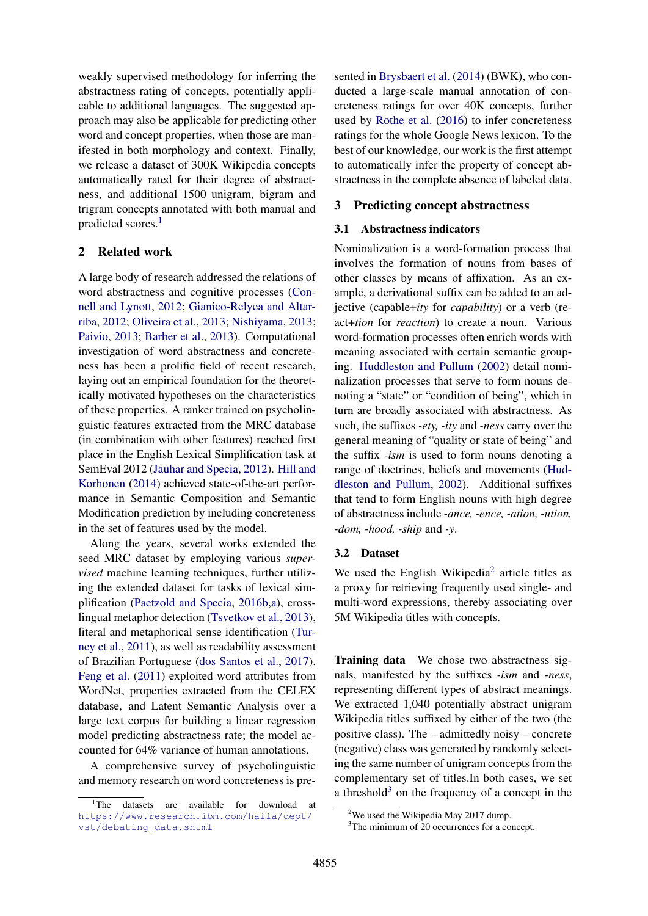weakly supervised methodology for inferring the abstractness rating of concepts, potentially applicable to additional languages. The suggested approach may also be applicable for predicting other word and concept properties, when those are manifested in both morphology and context. Finally, we release a dataset of 300K Wikipedia concepts automatically rated for their degree of abstractness, and additional 1500 unigram, bigram and trigram concepts annotated with both manual and predicted scores.<sup>[1](#page-1-0)</sup>

## 2 Related work

A large body of research addressed the relations of word abstractness and cognitive processes [\(Con](#page-5-5)[nell and Lynott,](#page-5-5) [2012;](#page-5-5) [Gianico-Relyea and Altar](#page-5-6)[riba,](#page-5-6) [2012;](#page-5-6) [Oliveira et al.,](#page-5-7) [2013;](#page-5-7) [Nishiyama,](#page-5-8) [2013;](#page-5-8) [Paivio,](#page-5-9) [2013;](#page-5-9) [Barber et al.,](#page-5-10) [2013\)](#page-5-10). Computational investigation of word abstractness and concreteness has been a prolific field of recent research, laying out an empirical foundation for the theoretically motivated hypotheses on the characteristics of these properties. A ranker trained on psycholinguistic features extracted from the MRC database (in combination with other features) reached first place in the English Lexical Simplification task at SemEval 2012 [\(Jauhar and Specia,](#page-5-11) [2012\)](#page-5-11). [Hill and](#page-5-12) [Korhonen](#page-5-12) [\(2014\)](#page-5-12) achieved state-of-the-art performance in Semantic Composition and Semantic Modification prediction by including concreteness in the set of features used by the model.

Along the years, several works extended the seed MRC dataset by employing various *supervised* machine learning techniques, further utilizing the extended dataset for tasks of lexical simplification [\(Paetzold and Specia,](#page-5-13) [2016b](#page-5-13)[,a\)](#page-5-14), crosslingual metaphor detection [\(Tsvetkov et al.,](#page-5-15) [2013\)](#page-5-15), literal and metaphorical sense identification [\(Tur](#page-5-16)[ney et al.,](#page-5-16) [2011\)](#page-5-16), as well as readability assessment of Brazilian Portuguese [\(dos Santos et al.,](#page-5-17) [2017\)](#page-5-17). [Feng et al.](#page-5-18) [\(2011\)](#page-5-18) exploited word attributes from WordNet, properties extracted from the CELEX database, and Latent Semantic Analysis over a large text corpus for building a linear regression model predicting abstractness rate; the model accounted for 64% variance of human annotations.

A comprehensive survey of psycholinguistic and memory research on word concreteness is pre-

sented in [Brysbaert et al.](#page-5-4) [\(2014\)](#page-5-4) (BWK), who conducted a large-scale manual annotation of concreteness ratings for over 40K concepts, further used by [Rothe et al.](#page-5-19) [\(2016\)](#page-5-19) to infer concreteness ratings for the whole Google News lexicon. To the best of our knowledge, our work is the first attempt to automatically infer the property of concept abstractness in the complete absence of labeled data.

### 3 Predicting concept abstractness

### 3.1 Abstractness indicators

Nominalization is a word-formation process that involves the formation of nouns from bases of other classes by means of affixation. As an example, a derivational suffix can be added to an adjective (capable+*ity* for *capability*) or a verb (react+*tion* for *reaction*) to create a noun. Various word-formation processes often enrich words with meaning associated with certain semantic grouping. [Huddleston and Pullum](#page-5-3) [\(2002\)](#page-5-3) detail nominalization processes that serve to form nouns denoting a "state" or "condition of being", which in turn are broadly associated with abstractness. As such, the suffixes *-ety, -ity* and *-ness* carry over the general meaning of "quality or state of being" and the suffix *-ism* is used to form nouns denoting a range of doctrines, beliefs and movements [\(Hud](#page-5-3)[dleston and Pullum,](#page-5-3) [2002\)](#page-5-3). Additional suffixes that tend to form English nouns with high degree of abstractness include *-ance, -ence, -ation, -ution, -dom, -hood, -ship* and *-y*.

### <span id="page-1-3"></span>3.2 Dataset

We used the English Wikipedia<sup>[2](#page-1-1)</sup> article titles as a proxy for retrieving frequently used single- and multi-word expressions, thereby associating over 5M Wikipedia titles with concepts.

Training data We chose two abstractness signals, manifested by the suffixes *-ism* and *-ness*, representing different types of abstract meanings. We extracted 1,040 potentially abstract unigram Wikipedia titles suffixed by either of the two (the positive class). The – admittedly noisy – concrete (negative) class was generated by randomly selecting the same number of unigram concepts from the complementary set of titles.In both cases, we set a threshold $3$  on the frequency of a concept in the

<span id="page-1-0"></span><sup>&</sup>lt;sup>1</sup>The datasets are available for download at [https://www.research.ibm.com/haifa/dept/](https://www.research.ibm.com/haifa/dept/vst/debating_data.shtml) [vst/debating\\_data.shtml](https://www.research.ibm.com/haifa/dept/vst/debating_data.shtml)

<span id="page-1-1"></span><sup>&</sup>lt;sup>2</sup>We used the Wikipedia May 2017 dump.

<span id="page-1-2"></span><sup>&</sup>lt;sup>3</sup>The minimum of 20 occurrences for a concept.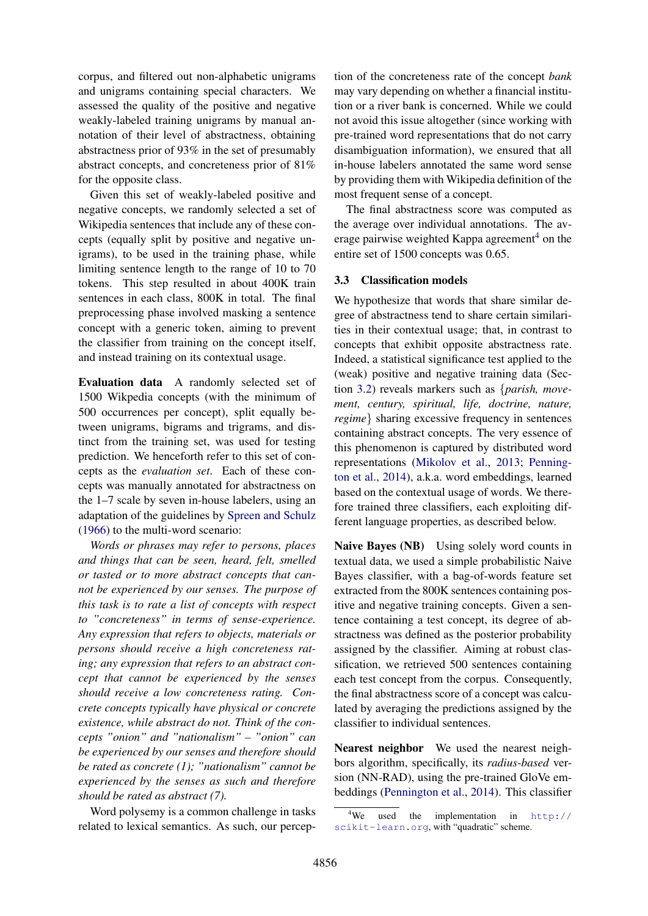corpus, and filtered out non-alphabetic unigrams and unigrams containing special characters. We assessed the quality of the positive and negative weakly-labeled training unigrams by manual annotation of their level of abstractness, obtaining abstractness prior of 93% in the set of presumably abstract concepts, and concreteness prior of 81% for the opposite class.

Given this set of weakly-labeled positive and negative concepts, we randomly selected a set of Wikipedia sentences that include any of these concepts (equally split by positive and negative unigrams), to be used in the training phase, while limiting sentence length to the range of 10 to 70 tokens. This step resulted in about 400K train sentences in each class, 800K in total. The final preprocessing phase involved masking a sentence concept with a generic token, aiming to prevent the classifier from training on the concept itself, and instead training on its contextual usage.

Evaluation data A randomly selected set of 1500 Wikpedia concepts (with the minimum of 500 occurrences per concept), split equally between unigrams, bigrams and trigrams, and distinct from the training set, was used for testing prediction. We henceforth refer to this set of concepts as the *evaluation set*. Each of these concepts was manually annotated for abstractness on the 1–7 scale by seven in-house labelers, using an adaptation of the guidelines by [Spreen and Schulz](#page-5-0) [\(1966\)](#page-5-0) to the multi-word scenario:

*Words or phrases may refer to persons, places and things that can be seen, heard, felt, smelled or tasted or to more abstract concepts that cannot be experienced by our senses. The purpose of this task is to rate a list of concepts with respect to "concreteness" in terms of sense-experience. Any expression that refers to objects, materials or persons should receive a high concreteness rating; any expression that refers to an abstract concept that cannot be experienced by the senses should receive a low concreteness rating. Concrete concepts typically have physical or concrete existence, while abstract do not. Think of the concepts "onion" and "nationalism" – "onion" can be experienced by our senses and therefore should be rated as concrete (1); "nationalism" cannot be experienced by the senses as such and therefore should be rated as abstract (7).*

Word polysemy is a common challenge in tasks related to lexical semantics. As such, our perception of the concreteness rate of the concept *bank* may vary depending on whether a financial institution or a river bank is concerned. While we could not avoid this issue altogether (since working with pre-trained word representations that do not carry disambiguation information), we ensured that all in-house labelers annotated the same word sense by providing them with Wikipedia definition of the most frequent sense of a concept.

The final abstractness score was computed as the average over individual annotations. The av-erage pairwise weighted Kappa agreement<sup>[4](#page-2-0)</sup> on the entire set of 1500 concepts was 0.65.

### <span id="page-2-1"></span>3.3 Classification models

We hypothesize that words that share similar degree of abstractness tend to share certain similarities in their contextual usage; that, in contrast to concepts that exhibit opposite abstractness rate. Indeed, a statistical significance test applied to the (weak) positive and negative training data (Section [3.2\)](#page-1-3) reveals markers such as {*parish, movement, century, spiritual, life, doctrine, nature, regime*} sharing excessive frequency in sentences containing abstract concepts. The very essence of this phenomenon is captured by distributed word representations [\(Mikolov et al.,](#page-5-20) [2013;](#page-5-20) [Penning](#page-5-21)[ton et al.,](#page-5-21) [2014\)](#page-5-21), a.k.a. word embeddings, learned based on the contextual usage of words. We therefore trained three classifiers, each exploiting different language properties, as described below.

Naive Bayes (NB) Using solely word counts in textual data, we used a simple probabilistic Naive Bayes classifier, with a bag-of-words feature set extracted from the 800K sentences containing positive and negative training concepts. Given a sentence containing a test concept, its degree of abstractness was defined as the posterior probability assigned by the classifier. Aiming at robust classification, we retrieved 500 sentences containing each test concept from the corpus. Consequently, the final abstractness score of a concept was calculated by averaging the predictions assigned by the classifier to individual sentences.

Nearest neighbor We used the nearest neighbors algorithm, specifically, its *radius-based* version (NN-RAD), using the pre-trained GloVe embeddings [\(Pennington et al.,](#page-5-21) [2014\)](#page-5-21). This classifier

<span id="page-2-0"></span><sup>&</sup>lt;sup>4</sup>We used the implementation in  $h \text{ttp:}/$ [scikit-learn.org](http://scikit-learn.org), with "quadratic" scheme.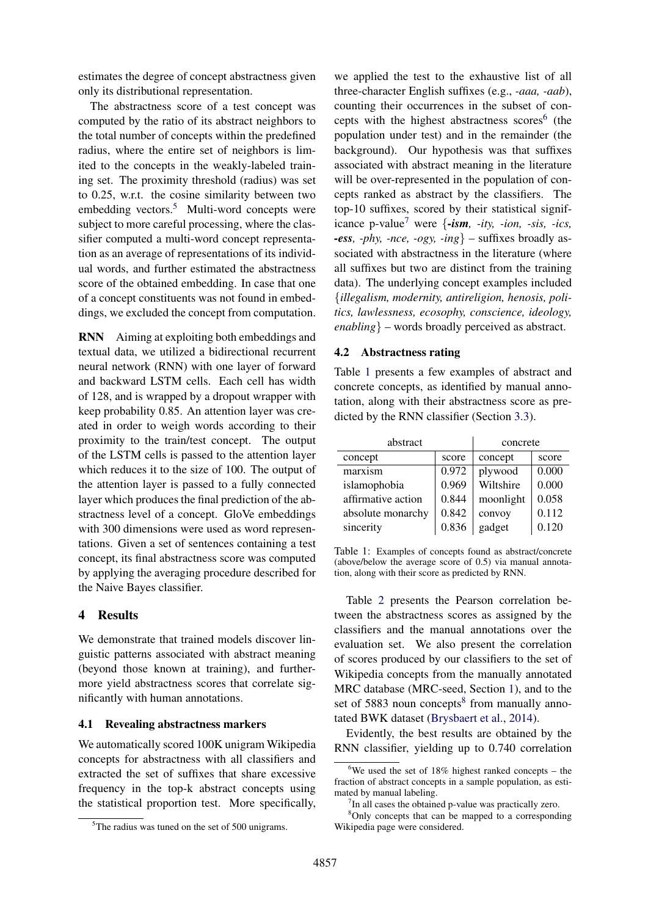estimates the degree of concept abstractness given only its distributional representation.

The abstractness score of a test concept was computed by the ratio of its abstract neighbors to the total number of concepts within the predefined radius, where the entire set of neighbors is limited to the concepts in the weakly-labeled training set. The proximity threshold (radius) was set to 0.25, w.r.t. the cosine similarity between two embedding vectors.<sup>[5](#page-3-0)</sup> Multi-word concepts were subject to more careful processing, where the classifier computed a multi-word concept representation as an average of representations of its individual words, and further estimated the abstractness score of the obtained embedding. In case that one of a concept constituents was not found in embeddings, we excluded the concept from computation.

RNN Aiming at exploiting both embeddings and textual data, we utilized a bidirectional recurrent neural network (RNN) with one layer of forward and backward LSTM cells. Each cell has width of 128, and is wrapped by a dropout wrapper with keep probability 0.85. An attention layer was created in order to weigh words according to their proximity to the train/test concept. The output of the LSTM cells is passed to the attention layer which reduces it to the size of 100. The output of the attention layer is passed to a fully connected layer which produces the final prediction of the abstractness level of a concept. GloVe embeddings with 300 dimensions were used as word representations. Given a set of sentences containing a test concept, its final abstractness score was computed by applying the averaging procedure described for the Naive Bayes classifier.

### 4 Results

We demonstrate that trained models discover linguistic patterns associated with abstract meaning (beyond those known at training), and furthermore yield abstractness scores that correlate significantly with human annotations.

### 4.1 Revealing abstractness markers

We automatically scored 100K unigram Wikipedia concepts for abstractness with all classifiers and extracted the set of suffixes that share excessive frequency in the top-k abstract concepts using the statistical proportion test. More specifically,

we applied the test to the exhaustive list of all three-character English suffixes (e.g., *-aaa, -aab*), counting their occurrences in the subset of con-cepts with the highest abstractness scores<sup>[6](#page-3-1)</sup> (the population under test) and in the remainder (the background). Our hypothesis was that suffixes associated with abstract meaning in the literature will be over-represented in the population of concepts ranked as abstract by the classifiers. The top-10 suffixes, scored by their statistical signif-icance p-value<sup>[7](#page-3-2)</sup> were  $\{-\mathbf{i}sm, -\mathbf{i}ty, -\mathbf{i}on, -\mathbf{s}is, -\mathbf{i}cs,$ *-ess, -phy, -nce, -ogy, -ing*} – suffixes broadly associated with abstractness in the literature (where all suffixes but two are distinct from the training data). The underlying concept examples included {*illegalism, modernity, antireligion, henosis, politics, lawlessness, ecosophy, conscience, ideology, enabling*} – words broadly perceived as abstract.

### 4.2 Abstractness rating

Table [1](#page-3-3) presents a few examples of abstract and concrete concepts, as identified by manual annotation, along with their abstractness score as predicted by the RNN classifier (Section [3.3\)](#page-2-1).

| abstract           |       | concrete  |       |
|--------------------|-------|-----------|-------|
| concept            | score | concept   | score |
| marxism            | 0.972 | plywood   | 0.000 |
| islamophobia       | 0.969 | Wiltshire | 0.000 |
| affirmative action | 0.844 | moonlight | 0.058 |
| absolute monarchy  | 0.842 | convoy    | 0.112 |
| sincerity          | 0.836 | gadget    | 0.120 |

<span id="page-3-3"></span>Table 1: Examples of concepts found as abstract/concrete (above/below the average score of 0.5) via manual annotation, along with their score as predicted by RNN.

Table [2](#page-4-0) presents the Pearson correlation between the abstractness scores as assigned by the classifiers and the manual annotations over the evaluation set. We also present the correlation of scores produced by our classifiers to the set of Wikipedia concepts from the manually annotated MRC database (MRC-seed, Section [1\)](#page-0-0), and to the set of 5[8](#page-3-4)83 noun concepts<sup>8</sup> from manually annotated BWK dataset [\(Brysbaert et al.,](#page-5-4) [2014\)](#page-5-4).

Evidently, the best results are obtained by the RNN classifier, yielding up to 0.740 correlation

<span id="page-3-0"></span><sup>5</sup>The radius was tuned on the set of 500 unigrams.

<span id="page-3-1"></span> $6$ We used the set of 18% highest ranked concepts – the fraction of abstract concepts in a sample population, as estimated by manual labeling.

<span id="page-3-4"></span><span id="page-3-2"></span><sup>&</sup>lt;sup>7</sup>In all cases the obtained p-value was practically zero.

<sup>8</sup>Only concepts that can be mapped to a corresponding Wikipedia page were considered.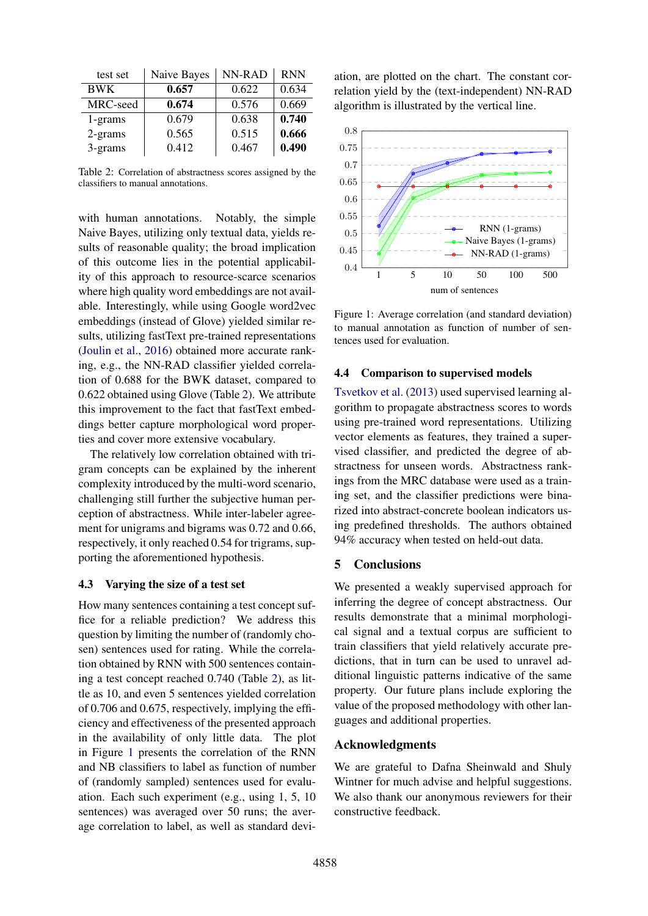| test set   | Naive Bayes | NN-RAD | <b>RNN</b> |
|------------|-------------|--------|------------|
| <b>BWK</b> | 0.657       | 0.622  | 0.634      |
| MRC-seed   | 0.674       | 0.576  | 0.669      |
| $1$ -grams | 0.679       | 0.638  | 0.740      |
| $2-grams$  | 0.565       | 0.515  | 0.666      |
| 3-grams    | 0.412       | 0.467  | 0.490      |

<span id="page-4-0"></span>Table 2: Correlation of abstractness scores assigned by the classifiers to manual annotations.

with human annotations. Notably, the simple Naive Bayes, utilizing only textual data, yields results of reasonable quality; the broad implication of this outcome lies in the potential applicability of this approach to resource-scarce scenarios where high quality word embeddings are not available. Interestingly, while using Google word2vec embeddings (instead of Glove) yielded similar results, utilizing fastText pre-trained representations [\(Joulin et al.,](#page-5-22) [2016\)](#page-5-22) obtained more accurate ranking, e.g., the NN-RAD classifier yielded correlation of 0.688 for the BWK dataset, compared to 0.622 obtained using Glove (Table [2\)](#page-4-0). We attribute this improvement to the fact that fastText embeddings better capture morphological word properties and cover more extensive vocabulary.

The relatively low correlation obtained with trigram concepts can be explained by the inherent complexity introduced by the multi-word scenario, challenging still further the subjective human perception of abstractness. While inter-labeler agreement for unigrams and bigrams was 0.72 and 0.66, respectively, it only reached 0.54 for trigrams, supporting the aforementioned hypothesis.

### 4.3 Varying the size of a test set

How many sentences containing a test concept suffice for a reliable prediction? We address this question by limiting the number of (randomly chosen) sentences used for rating. While the correlation obtained by RNN with 500 sentences containing a test concept reached 0.740 (Table [2\)](#page-4-0), as little as 10, and even 5 sentences yielded correlation of 0.706 and 0.675, respectively, implying the efficiency and effectiveness of the presented approach in the availability of only little data. The plot in Figure [1](#page-4-1) presents the correlation of the RNN and NB classifiers to label as function of number of (randomly sampled) sentences used for evaluation. Each such experiment (e.g., using 1, 5, 10 sentences) was averaged over 50 runs; the average correlation to label, as well as standard deviation, are plotted on the chart. The constant correlation yield by the (text-independent) NN-RAD algorithm is illustrated by the vertical line.



<span id="page-4-1"></span>Figure 1: Average correlation (and standard deviation) to manual annotation as function of number of sentences used for evaluation.

### 4.4 Comparison to supervised models

[Tsvetkov et al.](#page-5-15) [\(2013\)](#page-5-15) used supervised learning algorithm to propagate abstractness scores to words using pre-trained word representations. Utilizing vector elements as features, they trained a supervised classifier, and predicted the degree of abstractness for unseen words. Abstractness rankings from the MRC database were used as a training set, and the classifier predictions were binarized into abstract-concrete boolean indicators using predefined thresholds. The authors obtained 94% accuracy when tested on held-out data.

### 5 Conclusions

We presented a weakly supervised approach for inferring the degree of concept abstractness. Our results demonstrate that a minimal morphological signal and a textual corpus are sufficient to train classifiers that yield relatively accurate predictions, that in turn can be used to unravel additional linguistic patterns indicative of the same property. Our future plans include exploring the value of the proposed methodology with other languages and additional properties.

### Acknowledgments

We are grateful to Dafna Sheinwald and Shuly Wintner for much advise and helpful suggestions. We also thank our anonymous reviewers for their constructive feedback.